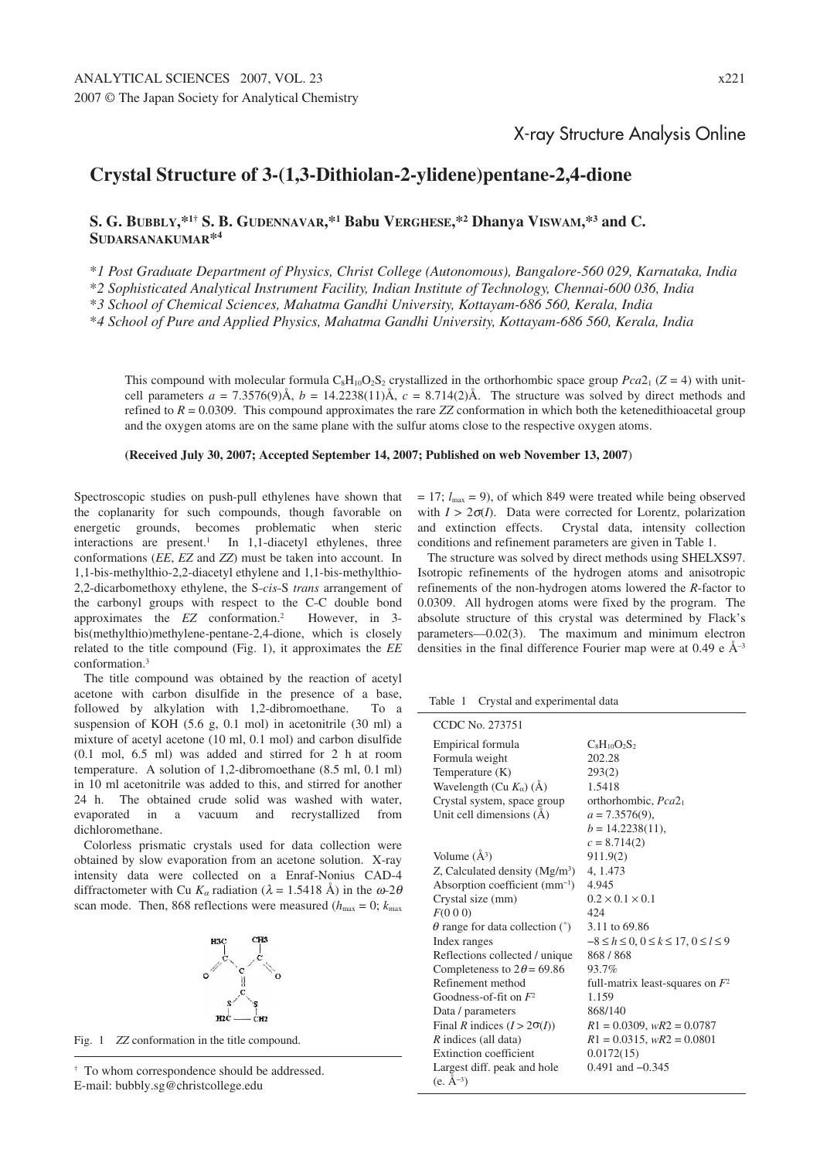## X-ray Structure Analysis Online

## **Crystal Structure of 3-(1,3-Dithiolan-2-ylidene)pentane-2,4-dione**

**S. G. BUBBLY,\*1† S. B. GUDENNAVAR,\*1 Babu VERGHESE,\*2 Dhanya VISWAM,\*3 and C. SUDARSANAKUMAR\*4**

\**1 Post Graduate Department of Physics, Christ College (Autonomous), Bangalore-560 029, Karnataka, India* \**2 Sophisticated Analytical Instrument Facility, Indian Institute of Technology, Chennai-600 036, India*

\**3 School of Chemical Sciences, Mahatma Gandhi University, Kottayam-686 560, Kerala, India*

\**4 School of Pure and Applied Physics, Mahatma Gandhi University, Kottayam-686 560, Kerala, India*

This compound with molecular formula  $C_8H_{10}O_2S_2$  crystallized in the orthorhombic space group  $Pca2_1$  ( $Z = 4$ ) with unitcell parameters  $a = 7.3576(9)$ Å,  $b = 14.2238(11)$ Å,  $c = 8.714(2)$ Å. The structure was solved by direct methods and refined to  $R = 0.0309$ . This compound approximates the rare *ZZ* conformation in which both the ketenedithioacetal group and the oxygen atoms are on the same plane with the sulfur atoms close to the respective oxygen atoms.

**(Received July 30, 2007; Accepted September 14, 2007; Published on web November 13, 2007**)

Spectroscopic studies on push-pull ethylenes have shown that the coplanarity for such compounds, though favorable on energetic grounds, becomes problematic when steric interactions are present.<sup>1</sup> In 1,1-diacetyl ethylenes, three conformations (*EE*, *EZ* and *ZZ*) must be taken into account. In 1,1-bis-methylthio-2,2-diacetyl ethylene and 1,1-bis-methylthio-2,2-dicarbomethoxy ethylene, the S–*cis*–S *trans* arrangement of the carbonyl groups with respect to the C–C double bond approximates the *EZ* conformation.2 However, in 3 bis(methylthio)methylene-pentane-2,4-dione, which is closely related to the title compound (Fig. 1), it approximates the *EE* conformation.3

The title compound was obtained by the reaction of acetyl acetone with carbon disulfide in the presence of a base, followed by alkylation with 1,2-dibromoethane. To a suspension of KOH (5.6 g, 0.1 mol) in acetonitrile (30 ml) a mixture of acetyl acetone (10 ml, 0.1 mol) and carbon disulfide (0.1 mol, 6.5 ml) was added and stirred for 2 h at room temperature. A solution of 1,2-dibromoethane (8.5 ml, 0.1 ml) in 10 ml acetonitrile was added to this, and stirred for another 24 h. The obtained crude solid was washed with water, evaporated in a vacuum and recrystallized from dichloromethane.

Colorless prismatic crystals used for data collection were obtained by slow evaporation from an acetone solution. X-ray intensity data were collected on a Enraf-Nonius CAD-4 diffractometer with Cu  $K_{\alpha}$  radiation ( $\lambda = 1.5418$  Å) in the  $\omega$ -2 $\theta$ scan mode. Then, 868 reflections were measured ( $h_{\text{max}} = 0$ ;  $k_{\text{max}}$ )



Fig. 1 *ZZ* conformation in the title compound.

† To whom correspondence should be addressed. E-mail: bubbly.sg@christcollege.edu

 $= 17$ ;  $l_{\text{max}} = 9$ ), of which 849 were treated while being observed with  $I > 2\sigma(I)$ . Data were corrected for Lorentz, polarization and extinction effects. Crystal data, intensity collection conditions and refinement parameters are given in Table 1.

The structure was solved by direct methods using SHELXS97. Isotropic refinements of the hydrogen atoms and anisotropic refinements of the non-hydrogen atoms lowered the *R*-factor to 0.0309. All hydrogen atoms were fixed by the program. The absolute structure of this crystal was determined by Flack's parameters—0.02(3). The maximum and minimum electron densities in the final difference Fourier map were at  $0.49 e \text{ Å}^{-3}$ 

Table 1 Crystal and experimental data

| CCDC No. 273751                        |                                                 |
|----------------------------------------|-------------------------------------------------|
| Empirical formula                      | $C_8H_{10}O_2S_2$                               |
| Formula weight                         | 202.28                                          |
| Temperature $(K)$                      | 293(2)                                          |
| Wavelength (Cu $K_{\alpha}$ ) (Å)      | 1.5418                                          |
| Crystal system, space group            | orthorhombic, Pca2 <sub>1</sub>                 |
| Unit cell dimensions $(\dot{A})$       | $a = 7.3576(9)$ ,                               |
|                                        | $b = 14.2238(11),$                              |
|                                        | $c = 8.714(2)$                                  |
| Volume $(A^3)$                         | 911.9(2)                                        |
| Z, Calculated density $(Mg/m3)$        | 4, 1.473                                        |
| Absorption coefficient $(mm^{-1})$     | 4.945                                           |
| Crystal size (mm)                      | $0.2 \times 0.1 \times 0.1$                     |
| F(000)                                 | 424                                             |
| $\theta$ range for data collection (°) | 3.11 to 69.86                                   |
| Index ranges                           | $-8 \le h \le 0, 0 \le k \le 17, 0 \le l \le 9$ |
| Reflections collected / unique         | 868 / 868                                       |
| Completeness to $2\theta$ = 69.86      | 93.7%                                           |
| Refinement method                      | full-matrix least-squares on $F^2$              |
| Goodness-of-fit on $F^2$               | 1.159                                           |
| Data / parameters                      | 868/140                                         |
| Final R indices $(I > 2\sigma(I))$     | $R1 = 0.0309$ , $wR2 = 0.0787$                  |
| R indices (all data)                   | $R1 = 0.0315$ , $wR2 = 0.0801$                  |
| Extinction coefficient                 | 0.0172(15)                                      |
| Largest diff. peak and hole            | $0.491$ and $-0.345$                            |
| $(e, \tilde{A}^{-3})$                  |                                                 |